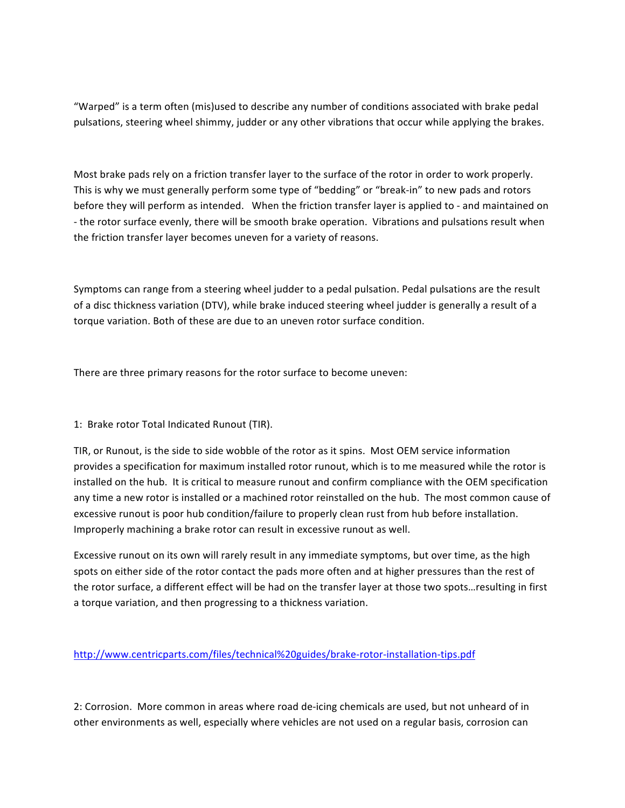"Warped" is a term often (mis)used to describe any number of conditions associated with brake pedal pulsations, steering wheel shimmy, judder or any other vibrations that occur while applying the brakes.

Most brake pads rely on a friction transfer layer to the surface of the rotor in order to work properly. This is why we must generally perform some type of "bedding" or "break-in" to new pads and rotors before they will perform as intended. When the friction transfer layer is applied to - and maintained on - the rotor surface evenly, there will be smooth brake operation. Vibrations and pulsations result when the friction transfer layer becomes uneven for a variety of reasons.

Symptoms can range from a steering wheel judder to a pedal pulsation. Pedal pulsations are the result of a disc thickness variation (DTV), while brake induced steering wheel judder is generally a result of a torque variation. Both of these are due to an uneven rotor surface condition.

There are three primary reasons for the rotor surface to become uneven:

## 1: Brake rotor Total Indicated Runout (TIR).

TIR, or Runout, is the side to side wobble of the rotor as it spins. Most OEM service information provides a specification for maximum installed rotor runout, which is to me measured while the rotor is installed on the hub. It is critical to measure runout and confirm compliance with the OEM specification any time a new rotor is installed or a machined rotor reinstalled on the hub. The most common cause of excessive runout is poor hub condition/failure to properly clean rust from hub before installation. Improperly machining a brake rotor can result in excessive runout as well.

Excessive runout on its own will rarely result in any immediate symptoms, but over time, as the high spots on either side of the rotor contact the pads more often and at higher pressures than the rest of the rotor surface, a different effect will be had on the transfer layer at those two spots…resulting in first a torque variation, and then progressing to a thickness variation.

## http://www.centricparts.com/files/technical%20guides/brake-rotor-installation-tips.pdf

2: Corrosion. More common in areas where road de-icing chemicals are used, but not unheard of in other environments as well, especially where vehicles are not used on a regular basis, corrosion can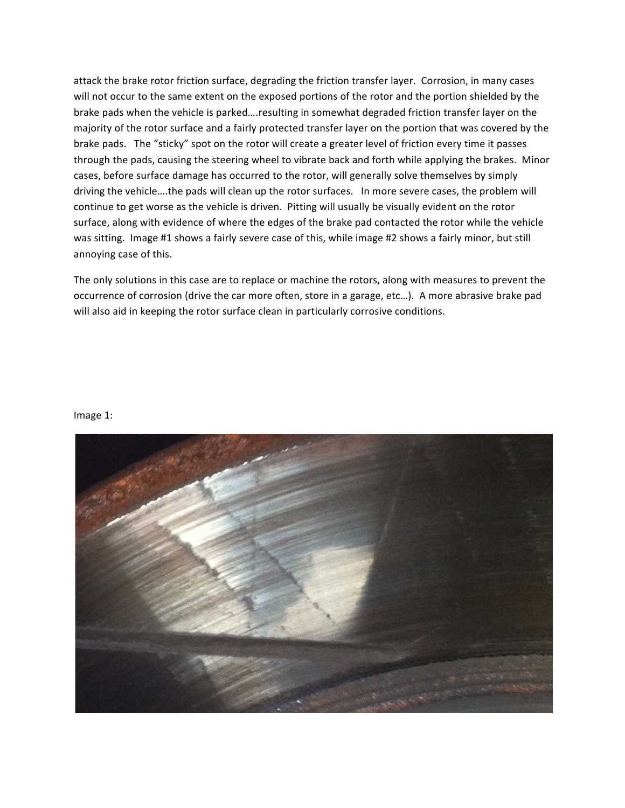attack the brake rotor friction surface, degrading the friction transfer layer. Corrosion, in many cases will not occur to the same extent on the exposed portions of the rotor and the portion shielded by the brake pads when the vehicle is parked....resulting in somewhat degraded friction transfer layer on the majority of the rotor surface and a fairly protected transfer layer on the portion that was covered by the brake pads. The "sticky" spot on the rotor will create a greater level of friction every time it passes through the pads, causing the steering wheel to vibrate back and forth while applying the brakes. Minor cases, before surface damage has occurred to the rotor, will generally solve themselves by simply driving the vehicle ... the pads will clean up the rotor surfaces. In more severe cases, the problem will continue to get worse as the vehicle is driven. Pitting will usually be visually evident on the rotor surface, along with evidence of where the edges of the brake pad contacted the rotor while the vehicle was sitting. Image #1 shows a fairly severe case of this, while image #2 shows a fairly minor, but still annoying case of this.

The only solutions in this case are to replace or machine the rotors, along with measures to prevent the occurrence of corrosion (drive the car more often, store in a garage, etc...). A more abrasive brake pad will also aid in keeping the rotor surface clean in particularly corrosive conditions.

## Image 1: